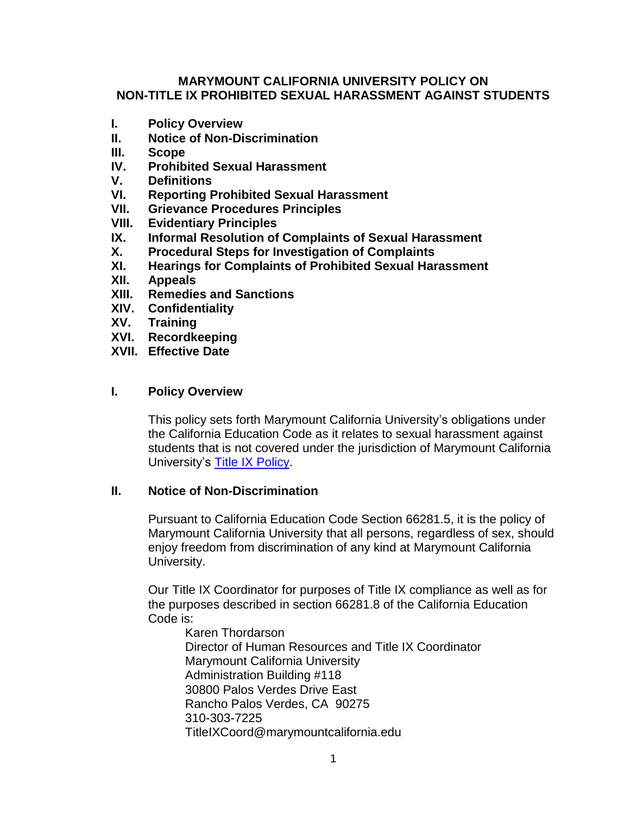### **MARYMOUNT CALIFORNIA UNIVERSITY POLICY ON NON-TITLE IX PROHIBITED SEXUAL HARASSMENT AGAINST STUDENTS**

- **I. Policy Overview**
- **II. Notice of Non-Discrimination**
- **III. Scope**
- **IV. Prohibited Sexual Harassment**
- **V. Definitions**
- **VI. Reporting Prohibited Sexual Harassment**
- **VII. Grievance Procedures Principles**
- **VIII. Evidentiary Principles**
- **IX. Informal Resolution of Complaints of Sexual Harassment**
- **X. Procedural Steps for Investigation of Complaints**
- **XI. Hearings for Complaints of Prohibited Sexual Harassment**
- **XII. Appeals**
- **XIII. Remedies and Sanctions**
- **XIV. Confidentiality**
- **XV. Training**
- **XVI. Recordkeeping**
- **XVII. Effective Date**

### **I. Policy Overview**

This policy sets forth Marymount California University's obligations under the California Education Code as it relates to sexual harassment against students that is not covered under the jurisdiction of Marymount California University's [Title IX Policy.](https://www.marymountcalifornia.edu/wp-content/uploads/2022/02/MCU-Title-IX-Policy-on-Prohibited-Sexual-Harassment-1.1.2022.docx.pdf)

### **II. Notice of Non-Discrimination**

Pursuant to California Education Code Section 66281.5, it is the policy of Marymount California University that all persons, regardless of sex, should enjoy freedom from discrimination of any kind at Marymount California University.

Our Title IX Coordinator for purposes of Title IX compliance as well as for the purposes described in section 66281.8 of the California Education Code is:

Karen Thordarson Director of Human Resources and Title IX Coordinator Marymount California University Administration Building #118 30800 Palos Verdes Drive East Rancho Palos Verdes, CA 90275 310-303-7225 TitleIXCoord@marymountcalifornia.edu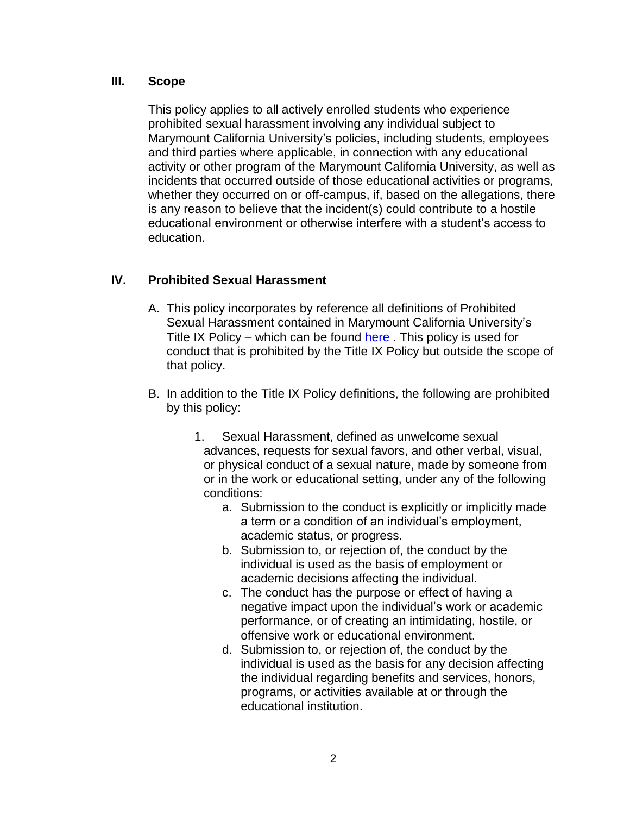### **III. Scope**

This policy applies to all actively enrolled students who experience prohibited sexual harassment involving any individual subject to Marymount California University's policies, including students, employees and third parties where applicable, in connection with any educational activity or other program of the Marymount California University, as well as incidents that occurred outside of those educational activities or programs, whether they occurred on or off-campus, if, based on the allegations, there is any reason to believe that the incident(s) could contribute to a hostile educational environment or otherwise interfere with a student's access to education.

# **IV. Prohibited Sexual Harassment**

- A. This policy incorporates by reference all definitions of Prohibited Sexual Harassment contained in Marymount California University's Title IX Policy – which can be found  $here$ . This policy is used for conduct that is prohibited by the Title IX Policy but outside the scope of that policy.
- B. In addition to the Title IX Policy definitions, the following are prohibited by this policy:
	- 1. Sexual Harassment, defined as unwelcome sexual advances, requests for sexual favors, and other verbal, visual, or physical conduct of a sexual nature, made by someone from or in the work or educational setting, under any of the following conditions:
		- a. Submission to the conduct is explicitly or implicitly made a term or a condition of an individual's employment, academic status, or progress.
		- b. Submission to, or rejection of, the conduct by the individual is used as the basis of employment or academic decisions affecting the individual.
		- c. The conduct has the purpose or effect of having a negative impact upon the individual's work or academic performance, or of creating an intimidating, hostile, or offensive work or educational environment.
		- d. Submission to, or rejection of, the conduct by the individual is used as the basis for any decision affecting the individual regarding benefits and services, honors, programs, or activities available at or through the educational institution.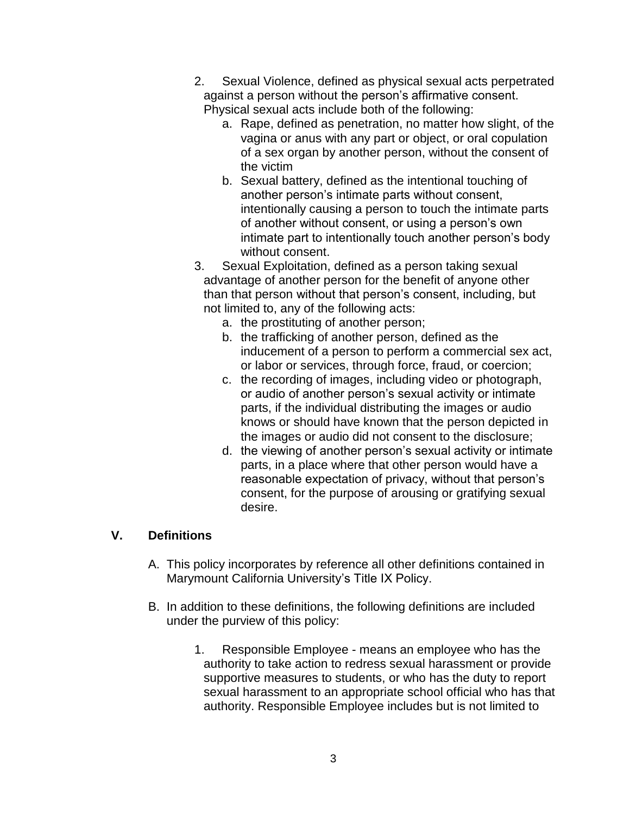- 2. Sexual Violence, defined as physical sexual acts perpetrated against a person without the person's affirmative consent. Physical sexual acts include both of the following:
	- a. Rape, defined as penetration, no matter how slight, of the vagina or anus with any part or object, or oral copulation of a sex organ by another person, without the consent of the victim
	- b. Sexual battery, defined as the intentional touching of another person's intimate parts without consent, intentionally causing a person to touch the intimate parts of another without consent, or using a person's own intimate part to intentionally touch another person's body without consent.
- 3. Sexual Exploitation, defined as a person taking sexual advantage of another person for the benefit of anyone other than that person without that person's consent, including, but not limited to, any of the following acts:
	- a. the prostituting of another person;
	- b. the trafficking of another person, defined as the inducement of a person to perform a commercial sex act, or labor or services, through force, fraud, or coercion;
	- c. the recording of images, including video or photograph, or audio of another person's sexual activity or intimate parts, if the individual distributing the images or audio knows or should have known that the person depicted in the images or audio did not consent to the disclosure;
	- d. the viewing of another person's sexual activity or intimate parts, in a place where that other person would have a reasonable expectation of privacy, without that person's consent, for the purpose of arousing or gratifying sexual desire.

# **V. Definitions**

- A. This policy incorporates by reference all other definitions contained in Marymount California University's Title IX Policy.
- B. In addition to these definitions, the following definitions are included under the purview of this policy:
	- 1. Responsible Employee means an employee who has the authority to take action to redress sexual harassment or provide supportive measures to students, or who has the duty to report sexual harassment to an appropriate school official who has that authority. Responsible Employee includes but is not limited to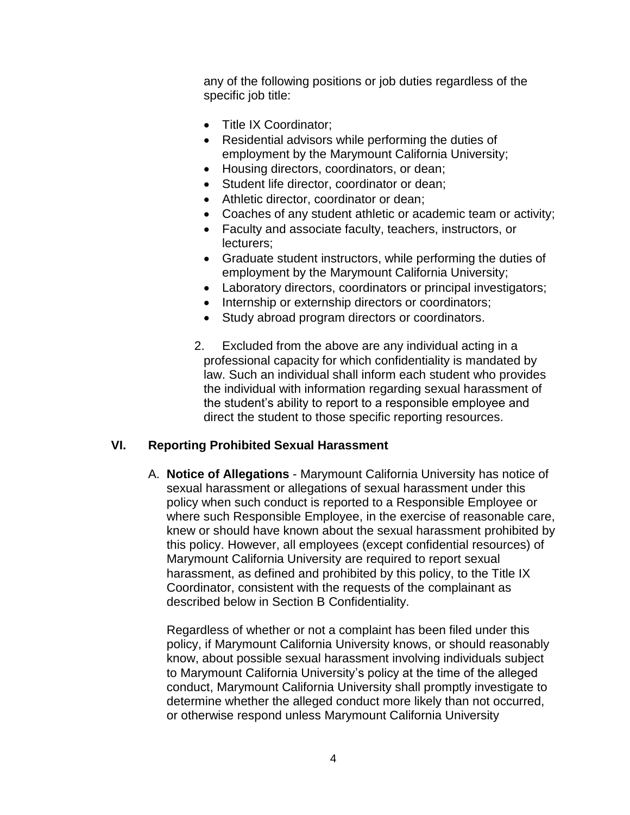any of the following positions or job duties regardless of the specific job title:

- Title IX Coordinator;
- Residential advisors while performing the duties of employment by the Marymount California University;
- Housing directors, coordinators, or dean;
- Student life director, coordinator or dean;
- Athletic director, coordinator or dean;
- Coaches of any student athletic or academic team or activity;
- Faculty and associate faculty, teachers, instructors, or lecturers;
- Graduate student instructors, while performing the duties of employment by the Marymount California University;
- Laboratory directors, coordinators or principal investigators;
- Internship or externship directors or coordinators;
- Study abroad program directors or coordinators.
- 2. Excluded from the above are any individual acting in a professional capacity for which confidentiality is mandated by law. Such an individual shall inform each student who provides the individual with information regarding sexual harassment of the student's ability to report to a responsible employee and direct the student to those specific reporting resources.

# **VI. Reporting Prohibited Sexual Harassment**

A. **Notice of Allegations** - Marymount California University has notice of sexual harassment or allegations of sexual harassment under this policy when such conduct is reported to a Responsible Employee or where such Responsible Employee, in the exercise of reasonable care, knew or should have known about the sexual harassment prohibited by this policy. However, all employees (except confidential resources) of Marymount California University are required to report sexual harassment, as defined and prohibited by this policy, to the Title IX Coordinator, consistent with the requests of the complainant as described below in Section B Confidentiality.

Regardless of whether or not a complaint has been filed under this policy, if Marymount California University knows, or should reasonably know, about possible sexual harassment involving individuals subject to Marymount California University's policy at the time of the alleged conduct, Marymount California University shall promptly investigate to determine whether the alleged conduct more likely than not occurred, or otherwise respond unless Marymount California University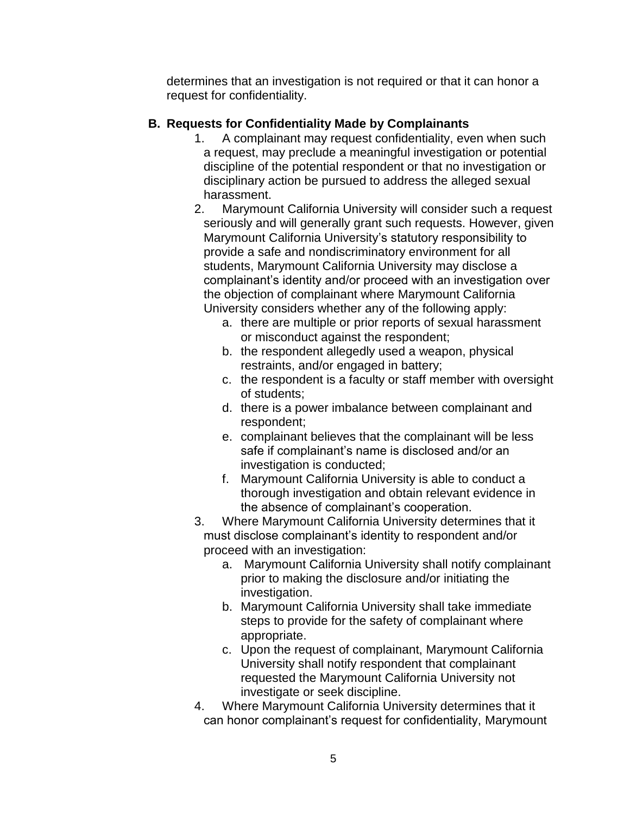determines that an investigation is not required or that it can honor a request for confidentiality.

### **B. Requests for Confidentiality Made by Complainants**

- 1. A complainant may request confidentiality, even when such a request, may preclude a meaningful investigation or potential discipline of the potential respondent or that no investigation or disciplinary action be pursued to address the alleged sexual harassment.
- 2. Marymount California University will consider such a request seriously and will generally grant such requests. However, given Marymount California University's statutory responsibility to provide a safe and nondiscriminatory environment for all students, Marymount California University may disclose a complainant's identity and/or proceed with an investigation over the objection of complainant where Marymount California University considers whether any of the following apply:
	- a. there are multiple or prior reports of sexual harassment or misconduct against the respondent;
	- b. the respondent allegedly used a weapon, physical restraints, and/or engaged in battery;
	- c. the respondent is a faculty or staff member with oversight of students;
	- d. there is a power imbalance between complainant and respondent;
	- e. complainant believes that the complainant will be less safe if complainant's name is disclosed and/or an investigation is conducted;
	- f. Marymount California University is able to conduct a thorough investigation and obtain relevant evidence in the absence of complainant's cooperation.
- 3. Where Marymount California University determines that it must disclose complainant's identity to respondent and/or proceed with an investigation:
	- a. Marymount California University shall notify complainant prior to making the disclosure and/or initiating the investigation.
	- b. Marymount California University shall take immediate steps to provide for the safety of complainant where appropriate.
	- c. Upon the request of complainant, Marymount California University shall notify respondent that complainant requested the Marymount California University not investigate or seek discipline.
- 4. Where Marymount California University determines that it can honor complainant's request for confidentiality, Marymount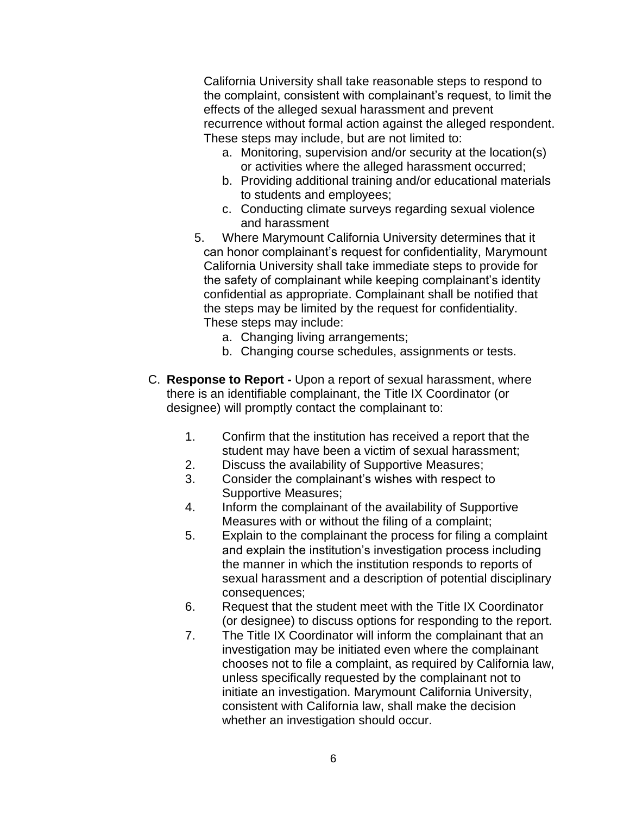California University shall take reasonable steps to respond to the complaint, consistent with complainant's request, to limit the effects of the alleged sexual harassment and prevent recurrence without formal action against the alleged respondent. These steps may include, but are not limited to:

- a. Monitoring, supervision and/or security at the location(s) or activities where the alleged harassment occurred;
- b. Providing additional training and/or educational materials to students and employees;
- c. Conducting climate surveys regarding sexual violence and harassment
- 5. Where Marymount California University determines that it can honor complainant's request for confidentiality, Marymount California University shall take immediate steps to provide for the safety of complainant while keeping complainant's identity confidential as appropriate. Complainant shall be notified that the steps may be limited by the request for confidentiality. These steps may include:
	- a. Changing living arrangements;
	- b. Changing course schedules, assignments or tests.
- C. **Response to Report -** Upon a report of sexual harassment, where there is an identifiable complainant, the Title IX Coordinator (or designee) will promptly contact the complainant to:
	- 1. Confirm that the institution has received a report that the student may have been a victim of sexual harassment;
	- 2. Discuss the availability of Supportive Measures;
	- 3. Consider the complainant's wishes with respect to Supportive Measures;
	- 4. Inform the complainant of the availability of Supportive Measures with or without the filing of a complaint;
	- 5. Explain to the complainant the process for filing a complaint and explain the institution's investigation process including the manner in which the institution responds to reports of sexual harassment and a description of potential disciplinary consequences;
	- 6. Request that the student meet with the Title IX Coordinator (or designee) to discuss options for responding to the report.
	- 7. The Title IX Coordinator will inform the complainant that an investigation may be initiated even where the complainant chooses not to file a complaint, as required by California law, unless specifically requested by the complainant not to initiate an investigation. Marymount California University, consistent with California law, shall make the decision whether an investigation should occur.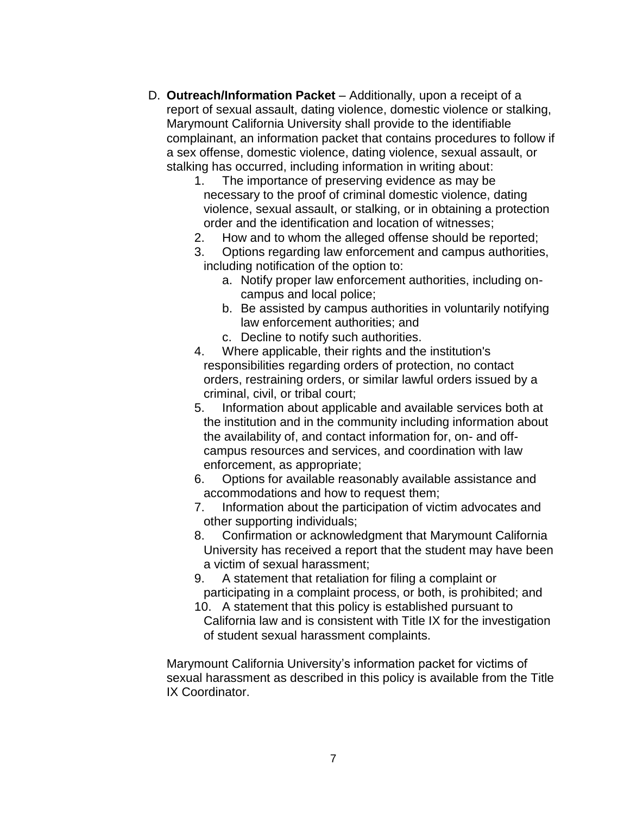- D. **Outreach/Information Packet** Additionally, upon a receipt of a report of sexual assault, dating violence, domestic violence or stalking, Marymount California University shall provide to the identifiable complainant, an information packet that contains procedures to follow if a sex offense, domestic violence, dating violence, sexual assault, or stalking has occurred, including information in writing about:
	- 1. The importance of preserving evidence as may be necessary to the proof of criminal domestic violence, dating violence, sexual assault, or stalking, or in obtaining a protection order and the identification and location of witnesses;
	- 2. How and to whom the alleged offense should be reported;
	- 3. Options regarding law enforcement and campus authorities, including notification of the option to:
		- a. Notify proper law enforcement authorities, including oncampus and local police;
		- b. Be assisted by campus authorities in voluntarily notifying law enforcement authorities; and
		- c. Decline to notify such authorities.
	- 4. Where applicable, their rights and the institution's responsibilities regarding orders of protection, no contact orders, restraining orders, or similar lawful orders issued by a criminal, civil, or tribal court;
	- 5. Information about applicable and available services both at the institution and in the community including information about the availability of, and contact information for, on- and offcampus resources and services, and coordination with law enforcement, as appropriate;
	- 6. Options for available reasonably available assistance and accommodations and how to request them;
	- 7. Information about the participation of victim advocates and other supporting individuals;
	- 8. Confirmation or acknowledgment that Marymount California University has received a report that the student may have been a victim of sexual harassment;
	- 9. A statement that retaliation for filing a complaint or participating in a complaint process, or both, is prohibited; and
	- 10. A statement that this policy is established pursuant to California law and is consistent with Title IX for the investigation of student sexual harassment complaints.

Marymount California University's information packet for victims of sexual harassment as described in this policy is available from the Title IX Coordinator.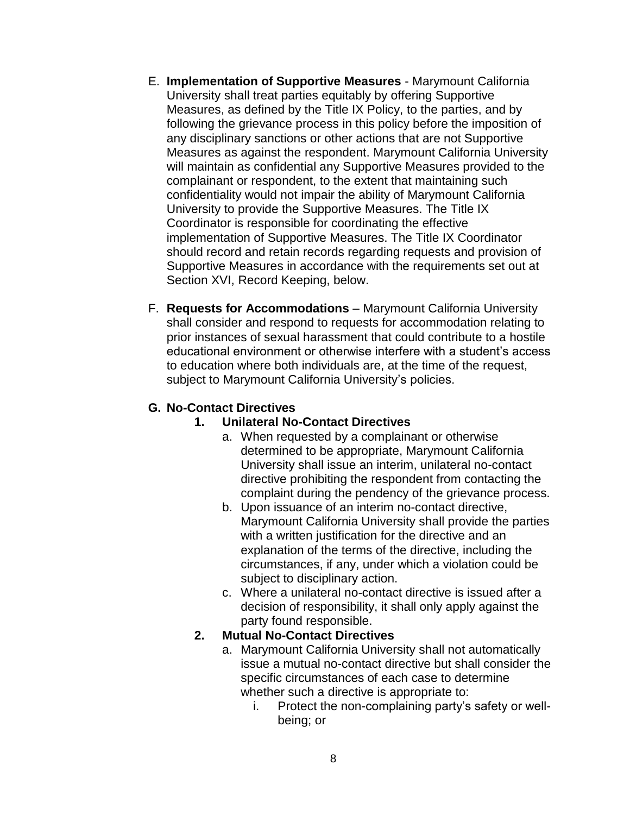- E. **Implementation of Supportive Measures** Marymount California University shall treat parties equitably by offering Supportive Measures, as defined by the Title IX Policy, to the parties, and by following the grievance process in this policy before the imposition of any disciplinary sanctions or other actions that are not Supportive Measures as against the respondent. Marymount California University will maintain as confidential any Supportive Measures provided to the complainant or respondent, to the extent that maintaining such confidentiality would not impair the ability of Marymount California University to provide the Supportive Measures. The Title IX Coordinator is responsible for coordinating the effective implementation of Supportive Measures. The Title IX Coordinator should record and retain records regarding requests and provision of Supportive Measures in accordance with the requirements set out at Section XVI, Record Keeping, below.
- F. **Requests for Accommodations** Marymount California University shall consider and respond to requests for accommodation relating to prior instances of sexual harassment that could contribute to a hostile educational environment or otherwise interfere with a student's access to education where both individuals are, at the time of the request, subject to Marymount California University's policies.

# **G. No-Contact Directives**

### **1. Unilateral No-Contact Directives**

- a. When requested by a complainant or otherwise determined to be appropriate, Marymount California University shall issue an interim, unilateral no-contact directive prohibiting the respondent from contacting the complaint during the pendency of the grievance process.
- b. Upon issuance of an interim no-contact directive, Marymount California University shall provide the parties with a written justification for the directive and an explanation of the terms of the directive, including the circumstances, if any, under which a violation could be subject to disciplinary action.
- c. Where a unilateral no-contact directive is issued after a decision of responsibility, it shall only apply against the party found responsible.

# **2. Mutual No-Contact Directives**

- a. Marymount California University shall not automatically issue a mutual no-contact directive but shall consider the specific circumstances of each case to determine whether such a directive is appropriate to:
	- i. Protect the non-complaining party's safety or wellbeing; or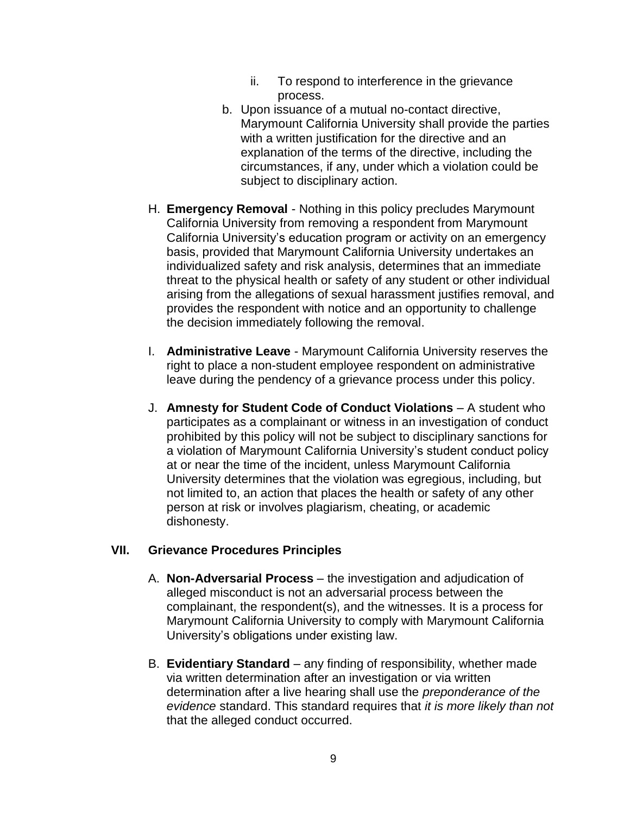- ii. To respond to interference in the grievance process.
- b. Upon issuance of a mutual no-contact directive, Marymount California University shall provide the parties with a written justification for the directive and an explanation of the terms of the directive, including the circumstances, if any, under which a violation could be subject to disciplinary action.
- H. **Emergency Removal** Nothing in this policy precludes Marymount California University from removing a respondent from Marymount California University's education program or activity on an emergency basis, provided that Marymount California University undertakes an individualized safety and risk analysis, determines that an immediate threat to the physical health or safety of any student or other individual arising from the allegations of sexual harassment justifies removal, and provides the respondent with notice and an opportunity to challenge the decision immediately following the removal.
- I. **Administrative Leave** Marymount California University reserves the right to place a non-student employee respondent on administrative leave during the pendency of a grievance process under this policy.
- J. **Amnesty for Student Code of Conduct Violations** A student who participates as a complainant or witness in an investigation of conduct prohibited by this policy will not be subject to disciplinary sanctions for a violation of Marymount California University's student conduct policy at or near the time of the incident, unless Marymount California University determines that the violation was egregious, including, but not limited to, an action that places the health or safety of any other person at risk or involves plagiarism, cheating, or academic dishonesty.

### **VII. Grievance Procedures Principles**

- A. **Non-Adversarial Process** the investigation and adjudication of alleged misconduct is not an adversarial process between the complainant, the respondent(s), and the witnesses. It is a process for Marymount California University to comply with Marymount California University's obligations under existing law.
- B. **Evidentiary Standard** any finding of responsibility, whether made via written determination after an investigation or via written determination after a live hearing shall use the *preponderance of the evidence* standard. This standard requires that *it is more likely than not* that the alleged conduct occurred.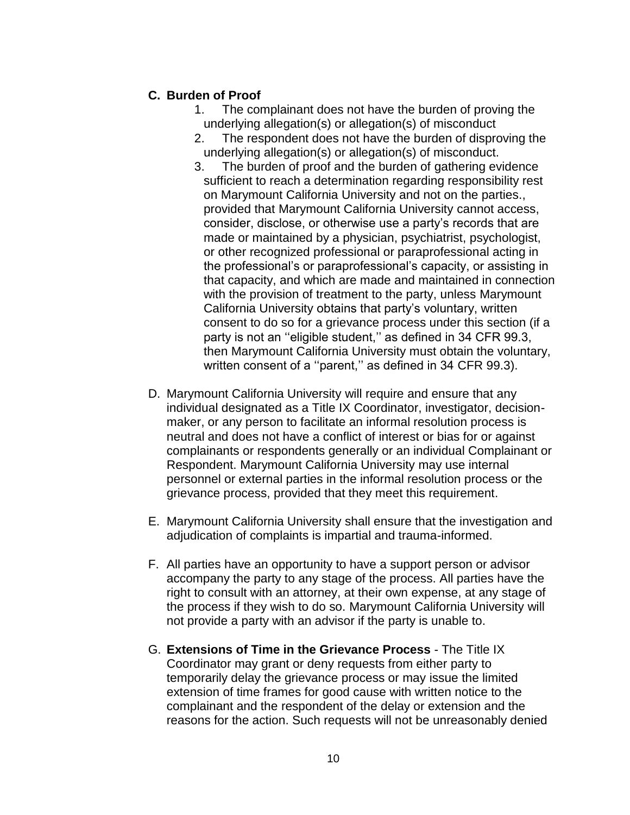### **C. Burden of Proof**

- 1. The complainant does not have the burden of proving the underlying allegation(s) or allegation(s) of misconduct
- 2. The respondent does not have the burden of disproving the underlying allegation(s) or allegation(s) of misconduct.
- 3. The burden of proof and the burden of gathering evidence sufficient to reach a determination regarding responsibility rest on Marymount California University and not on the parties., provided that Marymount California University cannot access, consider, disclose, or otherwise use a party's records that are made or maintained by a physician, psychiatrist, psychologist, or other recognized professional or paraprofessional acting in the professional's or paraprofessional's capacity, or assisting in that capacity, and which are made and maintained in connection with the provision of treatment to the party, unless Marymount California University obtains that party's voluntary, written consent to do so for a grievance process under this section (if a party is not an "eligible student," as defined in 34 CFR 99.3, then Marymount California University must obtain the voluntary, written consent of a ''parent,'' as defined in 34 CFR 99.3).
- D. Marymount California University will require and ensure that any individual designated as a Title IX Coordinator, investigator, decisionmaker, or any person to facilitate an informal resolution process is neutral and does not have a conflict of interest or bias for or against complainants or respondents generally or an individual Complainant or Respondent. Marymount California University may use internal personnel or external parties in the informal resolution process or the grievance process, provided that they meet this requirement.
- E. Marymount California University shall ensure that the investigation and adjudication of complaints is impartial and trauma-informed.
- F. All parties have an opportunity to have a support person or advisor accompany the party to any stage of the process. All parties have the right to consult with an attorney, at their own expense, at any stage of the process if they wish to do so. Marymount California University will not provide a party with an advisor if the party is unable to.
- G. **Extensions of Time in the Grievance Process** The Title IX Coordinator may grant or deny requests from either party to temporarily delay the grievance process or may issue the limited extension of time frames for good cause with written notice to the complainant and the respondent of the delay or extension and the reasons for the action. Such requests will not be unreasonably denied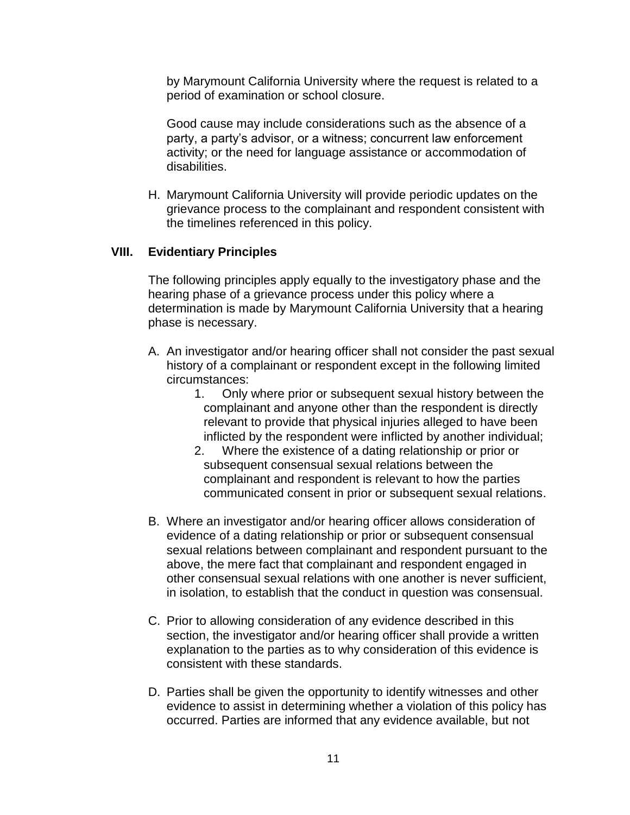by Marymount California University where the request is related to a period of examination or school closure.

Good cause may include considerations such as the absence of a party, a party's advisor, or a witness; concurrent law enforcement activity; or the need for language assistance or accommodation of disabilities.

H. Marymount California University will provide periodic updates on the grievance process to the complainant and respondent consistent with the timelines referenced in this policy.

#### **VIII. Evidentiary Principles**

The following principles apply equally to the investigatory phase and the hearing phase of a grievance process under this policy where a determination is made by Marymount California University that a hearing phase is necessary.

- A. An investigator and/or hearing officer shall not consider the past sexual history of a complainant or respondent except in the following limited circumstances:
	- 1. Only where prior or subsequent sexual history between the complainant and anyone other than the respondent is directly relevant to provide that physical injuries alleged to have been inflicted by the respondent were inflicted by another individual;
	- 2. Where the existence of a dating relationship or prior or subsequent consensual sexual relations between the complainant and respondent is relevant to how the parties communicated consent in prior or subsequent sexual relations.
- B. Where an investigator and/or hearing officer allows consideration of evidence of a dating relationship or prior or subsequent consensual sexual relations between complainant and respondent pursuant to the above, the mere fact that complainant and respondent engaged in other consensual sexual relations with one another is never sufficient, in isolation, to establish that the conduct in question was consensual.
- C. Prior to allowing consideration of any evidence described in this section, the investigator and/or hearing officer shall provide a written explanation to the parties as to why consideration of this evidence is consistent with these standards.
- D. Parties shall be given the opportunity to identify witnesses and other evidence to assist in determining whether a violation of this policy has occurred. Parties are informed that any evidence available, but not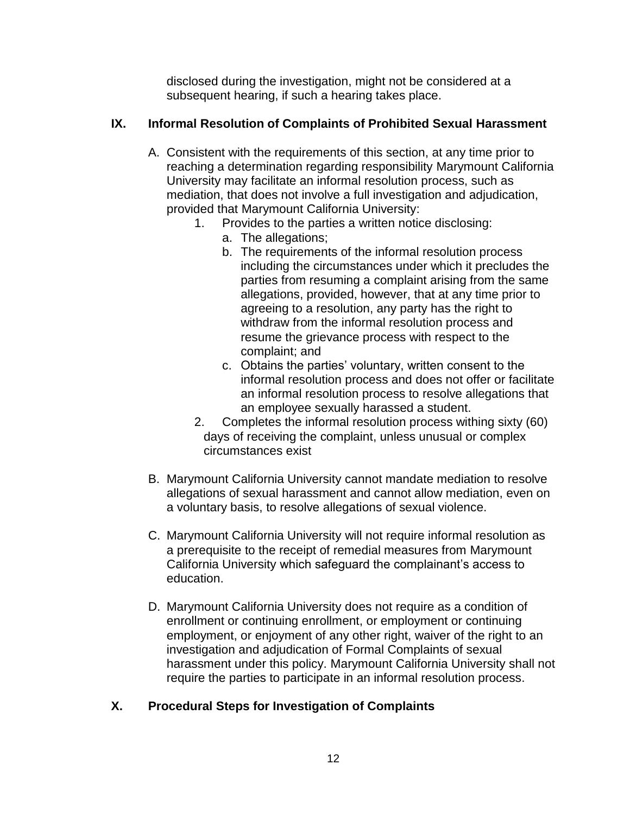disclosed during the investigation, might not be considered at a subsequent hearing, if such a hearing takes place.

# **IX. Informal Resolution of Complaints of Prohibited Sexual Harassment**

- A. Consistent with the requirements of this section, at any time prior to reaching a determination regarding responsibility Marymount California University may facilitate an informal resolution process, such as mediation, that does not involve a full investigation and adjudication, provided that Marymount California University:
	- 1. Provides to the parties a written notice disclosing:
		- a. The allegations;
		- b. The requirements of the informal resolution process including the circumstances under which it precludes the parties from resuming a complaint arising from the same allegations, provided, however, that at any time prior to agreeing to a resolution, any party has the right to withdraw from the informal resolution process and resume the grievance process with respect to the complaint; and
		- c. Obtains the parties' voluntary, written consent to the informal resolution process and does not offer or facilitate an informal resolution process to resolve allegations that an employee sexually harassed a student.
	- 2. Completes the informal resolution process withing sixty (60) days of receiving the complaint, unless unusual or complex circumstances exist
- B. Marymount California University cannot mandate mediation to resolve allegations of sexual harassment and cannot allow mediation, even on a voluntary basis, to resolve allegations of sexual violence.
- C. Marymount California University will not require informal resolution as a prerequisite to the receipt of remedial measures from Marymount California University which safeguard the complainant's access to education.
- D. Marymount California University does not require as a condition of enrollment or continuing enrollment, or employment or continuing employment, or enjoyment of any other right, waiver of the right to an investigation and adjudication of Formal Complaints of sexual harassment under this policy. Marymount California University shall not require the parties to participate in an informal resolution process.

# **X. Procedural Steps for Investigation of Complaints**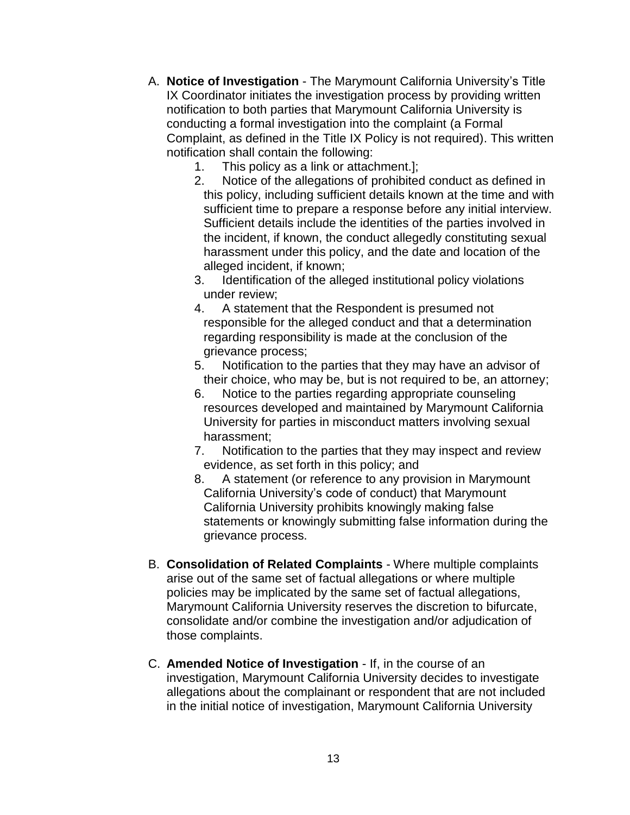- A. **Notice of Investigation** The Marymount California University's Title IX Coordinator initiates the investigation process by providing written notification to both parties that Marymount California University is conducting a formal investigation into the complaint (a Formal Complaint, as defined in the Title IX Policy is not required). This written notification shall contain the following:
	- 1. This policy as a link or attachment.];
	- 2. Notice of the allegations of prohibited conduct as defined in this policy, including sufficient details known at the time and with sufficient time to prepare a response before any initial interview. Sufficient details include the identities of the parties involved in the incident, if known, the conduct allegedly constituting sexual harassment under this policy, and the date and location of the alleged incident, if known;
	- 3. Identification of the alleged institutional policy violations under review;
	- 4. A statement that the Respondent is presumed not responsible for the alleged conduct and that a determination regarding responsibility is made at the conclusion of the grievance process;
	- 5. Notification to the parties that they may have an advisor of their choice, who may be, but is not required to be, an attorney;
	- 6. Notice to the parties regarding appropriate counseling resources developed and maintained by Marymount California University for parties in misconduct matters involving sexual harassment;
	- 7. Notification to the parties that they may inspect and review evidence, as set forth in this policy; and
	- 8. A statement (or reference to any provision in Marymount California University's code of conduct) that Marymount California University prohibits knowingly making false statements or knowingly submitting false information during the grievance process.
- B. **Consolidation of Related Complaints** Where multiple complaints arise out of the same set of factual allegations or where multiple policies may be implicated by the same set of factual allegations, Marymount California University reserves the discretion to bifurcate, consolidate and/or combine the investigation and/or adjudication of those complaints.
- C. **Amended Notice of Investigation** If, in the course of an investigation, Marymount California University decides to investigate allegations about the complainant or respondent that are not included in the initial notice of investigation, Marymount California University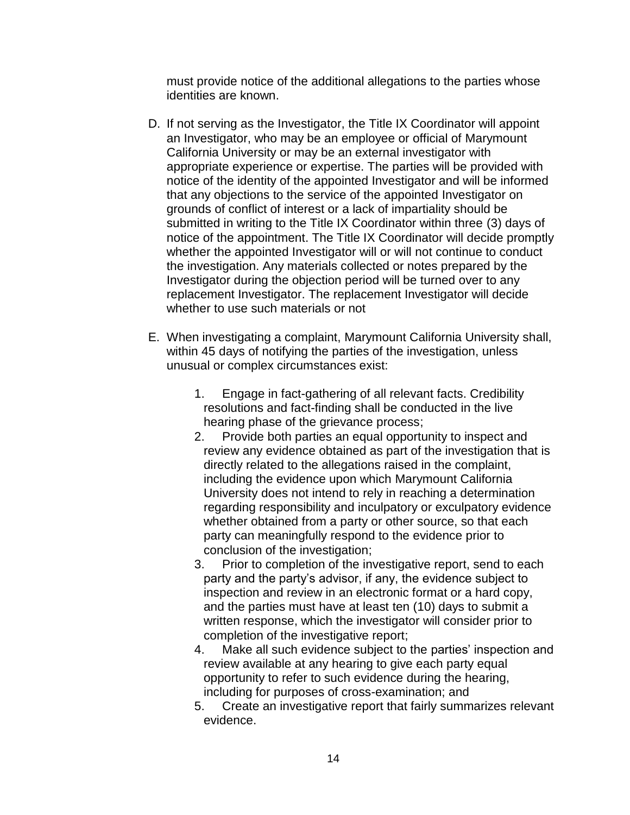must provide notice of the additional allegations to the parties whose identities are known.

- D. If not serving as the Investigator, the Title IX Coordinator will appoint an Investigator, who may be an employee or official of Marymount California University or may be an external investigator with appropriate experience or expertise. The parties will be provided with notice of the identity of the appointed Investigator and will be informed that any objections to the service of the appointed Investigator on grounds of conflict of interest or a lack of impartiality should be submitted in writing to the Title IX Coordinator within three (3) days of notice of the appointment. The Title IX Coordinator will decide promptly whether the appointed Investigator will or will not continue to conduct the investigation. Any materials collected or notes prepared by the Investigator during the objection period will be turned over to any replacement Investigator. The replacement Investigator will decide whether to use such materials or not
- E. When investigating a complaint, Marymount California University shall, within 45 days of notifying the parties of the investigation, unless unusual or complex circumstances exist:
	- 1. Engage in fact-gathering of all relevant facts. Credibility resolutions and fact-finding shall be conducted in the live hearing phase of the grievance process;
	- 2. Provide both parties an equal opportunity to inspect and review any evidence obtained as part of the investigation that is directly related to the allegations raised in the complaint, including the evidence upon which Marymount California University does not intend to rely in reaching a determination regarding responsibility and inculpatory or exculpatory evidence whether obtained from a party or other source, so that each party can meaningfully respond to the evidence prior to conclusion of the investigation;
	- 3. Prior to completion of the investigative report, send to each party and the party's advisor, if any, the evidence subject to inspection and review in an electronic format or a hard copy, and the parties must have at least ten (10) days to submit a written response, which the investigator will consider prior to completion of the investigative report;
	- 4. Make all such evidence subject to the parties' inspection and review available at any hearing to give each party equal opportunity to refer to such evidence during the hearing, including for purposes of cross-examination; and
	- 5. Create an investigative report that fairly summarizes relevant evidence.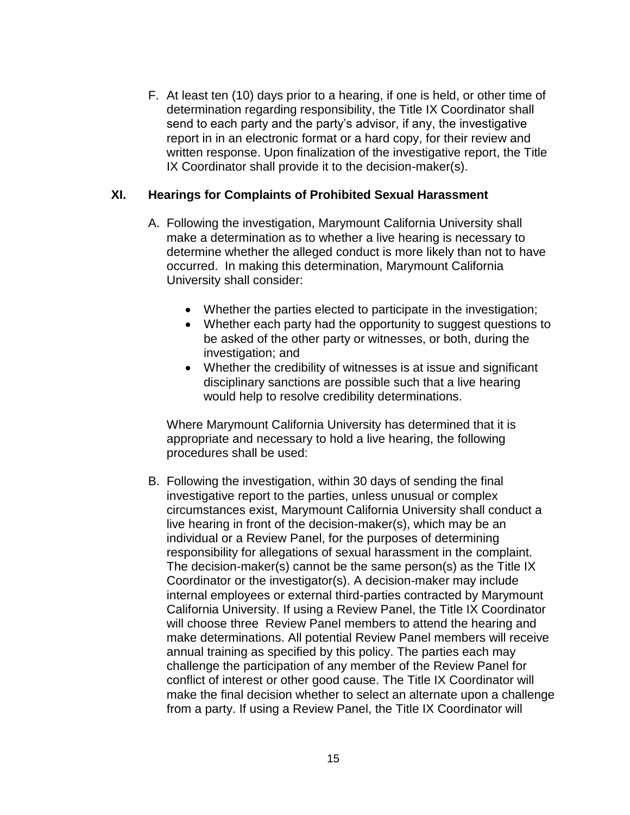F. At least ten (10) days prior to a hearing, if one is held, or other time of determination regarding responsibility, the Title IX Coordinator shall send to each party and the party's advisor, if any, the investigative report in in an electronic format or a hard copy, for their review and written response. Upon finalization of the investigative report, the Title IX Coordinator shall provide it to the decision-maker(s).

#### **XI. Hearings for Complaints of Prohibited Sexual Harassment**

- A. Following the investigation, Marymount California University shall make a determination as to whether a live hearing is necessary to determine whether the alleged conduct is more likely than not to have occurred. In making this determination, Marymount California University shall consider:
	- Whether the parties elected to participate in the investigation;
	- Whether each party had the opportunity to suggest questions to be asked of the other party or witnesses, or both, during the investigation; and
	- Whether the credibility of witnesses is at issue and significant disciplinary sanctions are possible such that a live hearing would help to resolve credibility determinations.

Where Marymount California University has determined that it is appropriate and necessary to hold a live hearing, the following procedures shall be used:

B. Following the investigation, within 30 days of sending the final investigative report to the parties, unless unusual or complex circumstances exist, Marymount California University shall conduct a live hearing in front of the decision-maker(s), which may be an individual or a Review Panel, for the purposes of determining responsibility for allegations of sexual harassment in the complaint. The decision-maker(s) cannot be the same person(s) as the Title IX Coordinator or the investigator(s). A decision-maker may include internal employees or external third-parties contracted by Marymount California University. If using a Review Panel, the Title IX Coordinator will choose three Review Panel members to attend the hearing and make determinations. All potential Review Panel members will receive annual training as specified by this policy. The parties each may challenge the participation of any member of the Review Panel for conflict of interest or other good cause. The Title IX Coordinator will make the final decision whether to select an alternate upon a challenge from a party. If using a Review Panel, the Title IX Coordinator will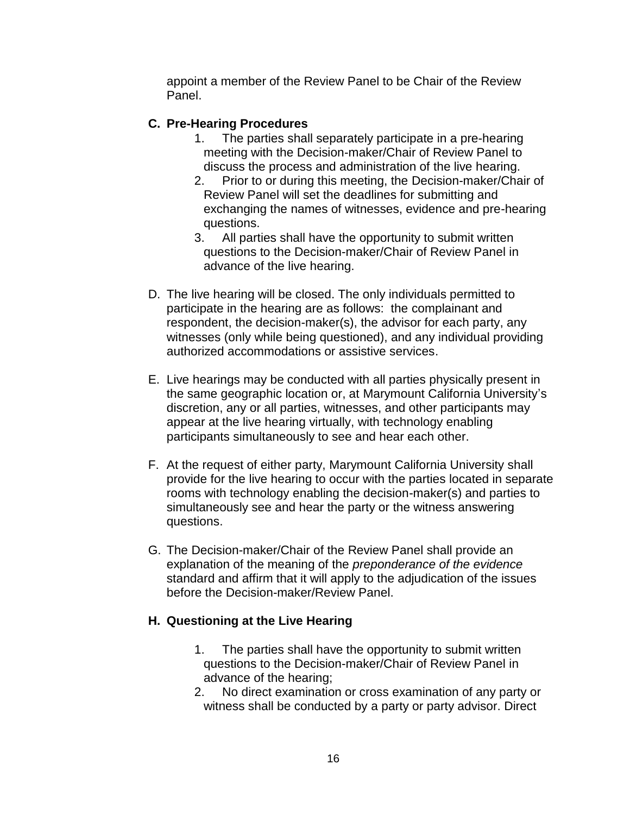appoint a member of the Review Panel to be Chair of the Review Panel.

### **C. Pre-Hearing Procedures**

- 1. The parties shall separately participate in a pre-hearing meeting with the Decision-maker/Chair of Review Panel to discuss the process and administration of the live hearing.
- 2. Prior to or during this meeting, the Decision-maker/Chair of Review Panel will set the deadlines for submitting and exchanging the names of witnesses, evidence and pre-hearing questions.
- 3. All parties shall have the opportunity to submit written questions to the Decision-maker/Chair of Review Panel in advance of the live hearing.
- D. The live hearing will be closed. The only individuals permitted to participate in the hearing are as follows: the complainant and respondent, the decision-maker(s), the advisor for each party, any witnesses (only while being questioned), and any individual providing authorized accommodations or assistive services.
- E. Live hearings may be conducted with all parties physically present in the same geographic location or, at Marymount California University's discretion, any or all parties, witnesses, and other participants may appear at the live hearing virtually, with technology enabling participants simultaneously to see and hear each other.
- F. At the request of either party, Marymount California University shall provide for the live hearing to occur with the parties located in separate rooms with technology enabling the decision-maker(s) and parties to simultaneously see and hear the party or the witness answering questions.
- G. The Decision-maker/Chair of the Review Panel shall provide an explanation of the meaning of the *preponderance of the evidence* standard and affirm that it will apply to the adjudication of the issues before the Decision-maker/Review Panel.

### **H. Questioning at the Live Hearing**

- 1. The parties shall have the opportunity to submit written questions to the Decision-maker/Chair of Review Panel in advance of the hearing;
- 2. No direct examination or cross examination of any party or witness shall be conducted by a party or party advisor. Direct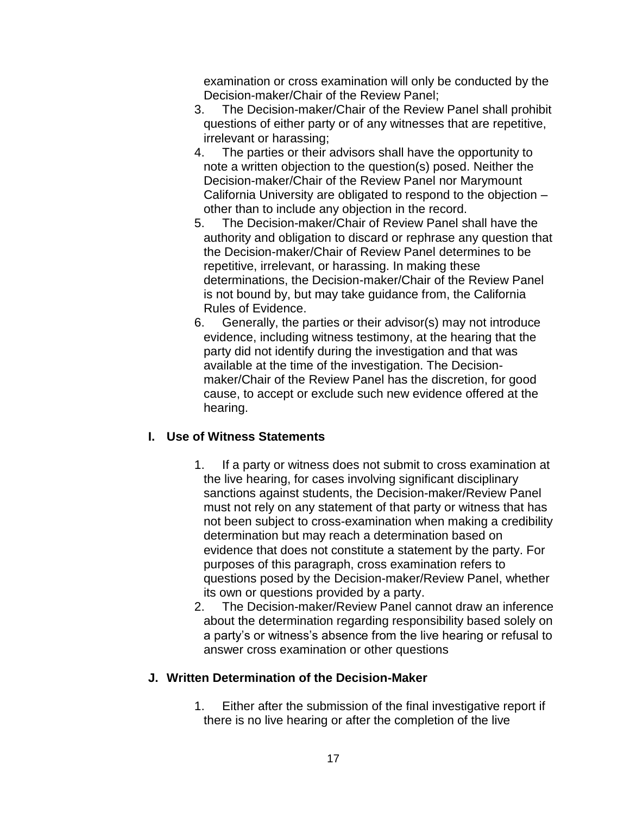examination or cross examination will only be conducted by the Decision-maker/Chair of the Review Panel;

- 3. The Decision-maker/Chair of the Review Panel shall prohibit questions of either party or of any witnesses that are repetitive, irrelevant or harassing;
- 4. The parties or their advisors shall have the opportunity to note a written objection to the question(s) posed. Neither the Decision-maker/Chair of the Review Panel nor Marymount California University are obligated to respond to the objection – other than to include any objection in the record.
- 5. The Decision-maker/Chair of Review Panel shall have the authority and obligation to discard or rephrase any question that the Decision-maker/Chair of Review Panel determines to be repetitive, irrelevant, or harassing. In making these determinations, the Decision-maker/Chair of the Review Panel is not bound by, but may take guidance from, the California Rules of Evidence.
- 6. Generally, the parties or their advisor(s) may not introduce evidence, including witness testimony, at the hearing that the party did not identify during the investigation and that was available at the time of the investigation. The Decisionmaker/Chair of the Review Panel has the discretion, for good cause, to accept or exclude such new evidence offered at the hearing.

# **I. Use of Witness Statements**

- 1. If a party or witness does not submit to cross examination at the live hearing, for cases involving significant disciplinary sanctions against students, the Decision-maker/Review Panel must not rely on any statement of that party or witness that has not been subject to cross-examination when making a credibility determination but may reach a determination based on evidence that does not constitute a statement by the party. For purposes of this paragraph, cross examination refers to questions posed by the Decision-maker/Review Panel, whether its own or questions provided by a party.
- 2. The Decision-maker/Review Panel cannot draw an inference about the determination regarding responsibility based solely on a party's or witness's absence from the live hearing or refusal to answer cross examination or other questions

# **J. Written Determination of the Decision-Maker**

1. Either after the submission of the final investigative report if there is no live hearing or after the completion of the live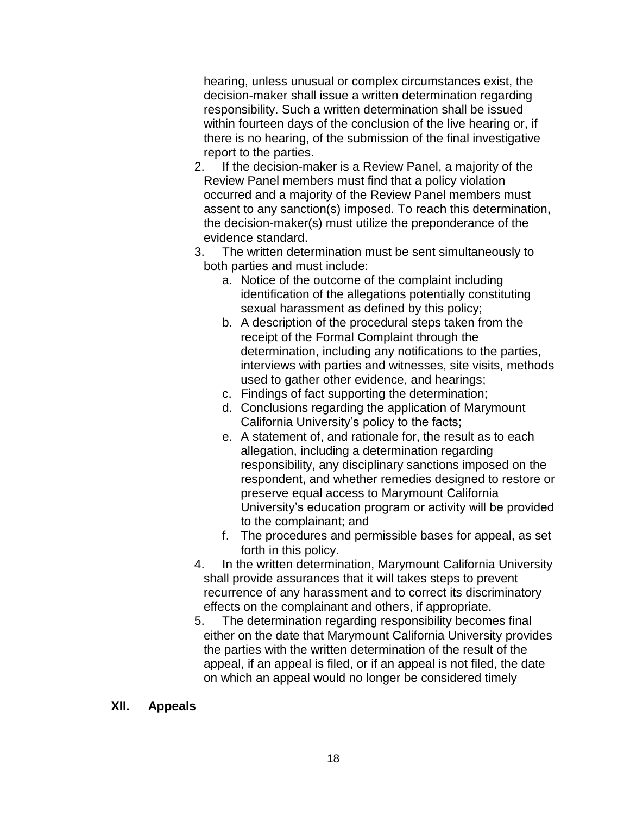hearing, unless unusual or complex circumstances exist, the decision-maker shall issue a written determination regarding responsibility. Such a written determination shall be issued within fourteen days of the conclusion of the live hearing or, if there is no hearing, of the submission of the final investigative report to the parties.

- 2. If the decision-maker is a Review Panel, a majority of the Review Panel members must find that a policy violation occurred and a majority of the Review Panel members must assent to any sanction(s) imposed. To reach this determination, the decision-maker(s) must utilize the preponderance of the evidence standard.
- 3. The written determination must be sent simultaneously to both parties and must include:
	- a. Notice of the outcome of the complaint including identification of the allegations potentially constituting sexual harassment as defined by this policy;
	- b. A description of the procedural steps taken from the receipt of the Formal Complaint through the determination, including any notifications to the parties, interviews with parties and witnesses, site visits, methods used to gather other evidence, and hearings;
	- c. Findings of fact supporting the determination;
	- d. Conclusions regarding the application of Marymount California University's policy to the facts;
	- e. A statement of, and rationale for, the result as to each allegation, including a determination regarding responsibility, any disciplinary sanctions imposed on the respondent, and whether remedies designed to restore or preserve equal access to Marymount California University's education program or activity will be provided to the complainant; and
	- f. The procedures and permissible bases for appeal, as set forth in this policy.
- 4. In the written determination, Marymount California University shall provide assurances that it will takes steps to prevent recurrence of any harassment and to correct its discriminatory effects on the complainant and others, if appropriate.
- 5. The determination regarding responsibility becomes final either on the date that Marymount California University provides the parties with the written determination of the result of the appeal, if an appeal is filed, or if an appeal is not filed, the date on which an appeal would no longer be considered timely

### **XII. Appeals**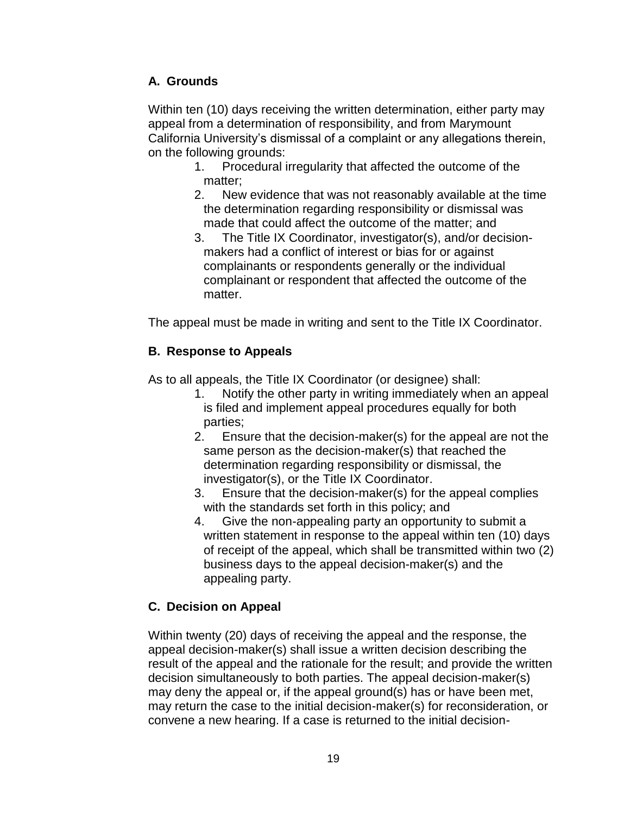# **A. Grounds**

Within ten (10) days receiving the written determination, either party may appeal from a determination of responsibility, and from Marymount California University's dismissal of a complaint or any allegations therein, on the following grounds:

- 1. Procedural irregularity that affected the outcome of the matter;
- 2. New evidence that was not reasonably available at the time the determination regarding responsibility or dismissal was made that could affect the outcome of the matter; and
- 3. The Title IX Coordinator, investigator(s), and/or decisionmakers had a conflict of interest or bias for or against complainants or respondents generally or the individual complainant or respondent that affected the outcome of the matter.

The appeal must be made in writing and sent to the Title IX Coordinator.

# **B. Response to Appeals**

As to all appeals, the Title IX Coordinator (or designee) shall:

- 1. Notify the other party in writing immediately when an appeal is filed and implement appeal procedures equally for both parties;
- 2. Ensure that the decision-maker(s) for the appeal are not the same person as the decision-maker(s) that reached the determination regarding responsibility or dismissal, the investigator(s), or the Title IX Coordinator.
- 3. Ensure that the decision-maker(s) for the appeal complies with the standards set forth in this policy; and
- 4. Give the non-appealing party an opportunity to submit a written statement in response to the appeal within ten (10) days of receipt of the appeal, which shall be transmitted within two (2) business days to the appeal decision-maker(s) and the appealing party.

# **C. Decision on Appeal**

Within twenty (20) days of receiving the appeal and the response, the appeal decision-maker(s) shall issue a written decision describing the result of the appeal and the rationale for the result; and provide the written decision simultaneously to both parties. The appeal decision-maker(s) may deny the appeal or, if the appeal ground(s) has or have been met, may return the case to the initial decision-maker(s) for reconsideration, or convene a new hearing. If a case is returned to the initial decision-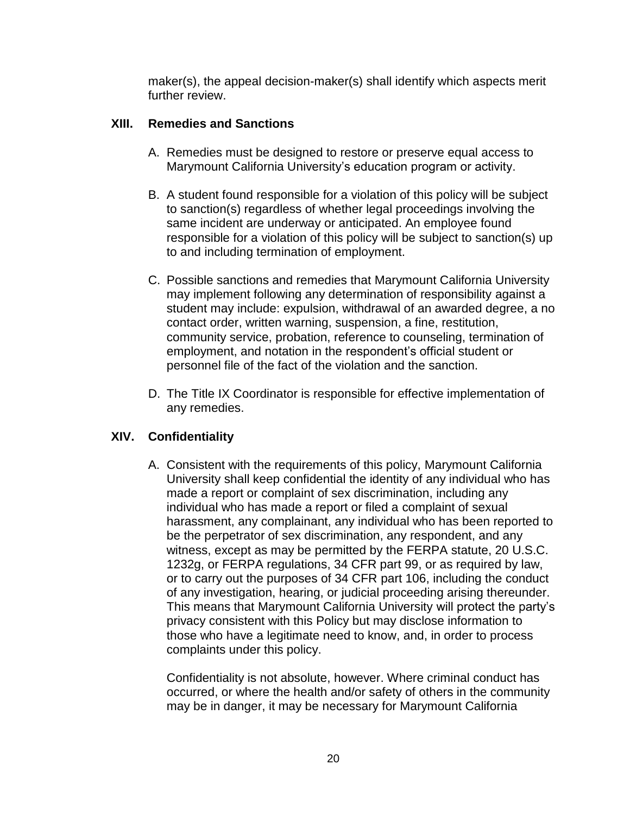maker(s), the appeal decision-maker(s) shall identify which aspects merit further review.

### **XIII. Remedies and Sanctions**

- A. Remedies must be designed to restore or preserve equal access to Marymount California University's education program or activity.
- B. A student found responsible for a violation of this policy will be subject to sanction(s) regardless of whether legal proceedings involving the same incident are underway or anticipated. An employee found responsible for a violation of this policy will be subject to sanction(s) up to and including termination of employment.
- C. Possible sanctions and remedies that Marymount California University may implement following any determination of responsibility against a student may include: expulsion, withdrawal of an awarded degree, a no contact order, written warning, suspension, a fine, restitution, community service, probation, reference to counseling, termination of employment, and notation in the respondent's official student or personnel file of the fact of the violation and the sanction.
- D. The Title IX Coordinator is responsible for effective implementation of any remedies.

# **XIV. Confidentiality**

A. Consistent with the requirements of this policy, Marymount California University shall keep confidential the identity of any individual who has made a report or complaint of sex discrimination, including any individual who has made a report or filed a complaint of sexual harassment, any complainant, any individual who has been reported to be the perpetrator of sex discrimination, any respondent, and any witness, except as may be permitted by the FERPA statute, 20 U.S.C. 1232g, or FERPA regulations, 34 CFR part 99, or as required by law, or to carry out the purposes of 34 CFR part 106, including the conduct of any investigation, hearing, or judicial proceeding arising thereunder. This means that Marymount California University will protect the party's privacy consistent with this Policy but may disclose information to those who have a legitimate need to know, and, in order to process complaints under this policy.

Confidentiality is not absolute, however. Where criminal conduct has occurred, or where the health and/or safety of others in the community may be in danger, it may be necessary for Marymount California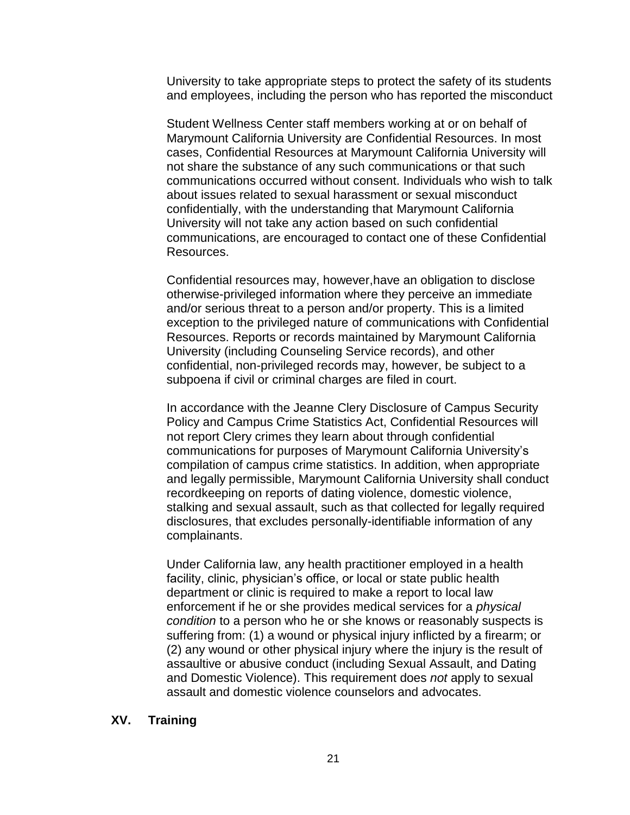University to take appropriate steps to protect the safety of its students and employees, including the person who has reported the misconduct

Student Wellness Center staff members working at or on behalf of Marymount California University are Confidential Resources. In most cases, Confidential Resources at Marymount California University will not share the substance of any such communications or that such communications occurred without consent. Individuals who wish to talk about issues related to sexual harassment or sexual misconduct confidentially, with the understanding that Marymount California University will not take any action based on such confidential communications, are encouraged to contact one of these Confidential Resources.

Confidential resources may, however,have an obligation to disclose otherwise-privileged information where they perceive an immediate and/or serious threat to a person and/or property. This is a limited exception to the privileged nature of communications with Confidential Resources. Reports or records maintained by Marymount California University (including Counseling Service records), and other confidential, non-privileged records may, however, be subject to a subpoena if civil or criminal charges are filed in court.

In accordance with the Jeanne Clery Disclosure of Campus Security Policy and Campus Crime Statistics Act, Confidential Resources will not report Clery crimes they learn about through confidential communications for purposes of Marymount California University's compilation of campus crime statistics. In addition, when appropriate and legally permissible, Marymount California University shall conduct recordkeeping on reports of dating violence, domestic violence, stalking and sexual assault, such as that collected for legally required disclosures, that excludes personally-identifiable information of any complainants.

Under California law, any health practitioner employed in a health facility, clinic, physician's office, or local or state public health department or clinic is required to make a report to local law enforcement if he or she provides medical services for a *physical condition* to a person who he or she knows or reasonably suspects is suffering from: (1) a wound or physical injury inflicted by a firearm; or (2) any wound or other physical injury where the injury is the result of assaultive or abusive conduct (including Sexual Assault, and Dating and Domestic Violence). This requirement does *not* apply to sexual assault and domestic violence counselors and advocates.

#### **XV. Training**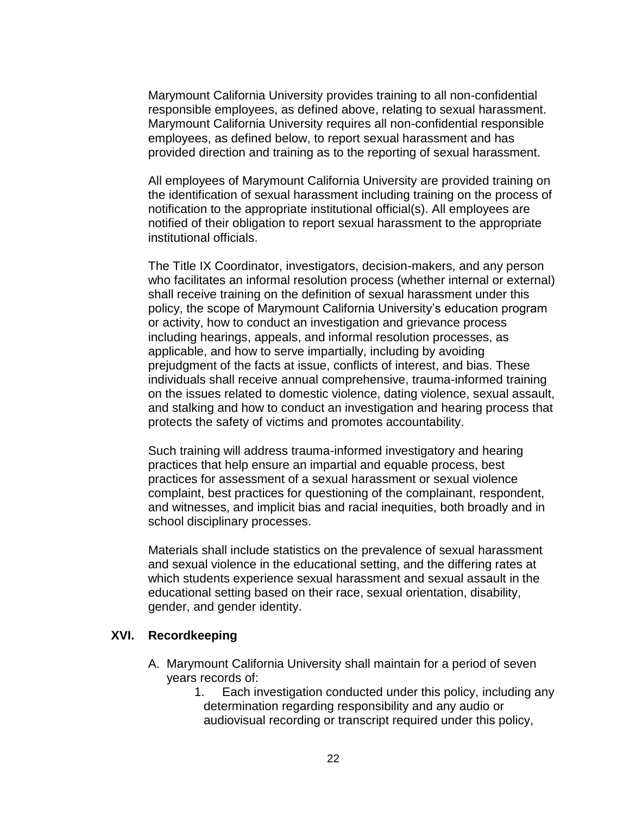Marymount California University provides training to all non-confidential responsible employees, as defined above, relating to sexual harassment. Marymount California University requires all non-confidential responsible employees, as defined below, to report sexual harassment and has provided direction and training as to the reporting of sexual harassment.

All employees of Marymount California University are provided training on the identification of sexual harassment including training on the process of notification to the appropriate institutional official(s). All employees are notified of their obligation to report sexual harassment to the appropriate institutional officials.

The Title IX Coordinator, investigators, decision-makers, and any person who facilitates an informal resolution process (whether internal or external) shall receive training on the definition of sexual harassment under this policy, the scope of Marymount California University's education program or activity, how to conduct an investigation and grievance process including hearings, appeals, and informal resolution processes, as applicable, and how to serve impartially, including by avoiding prejudgment of the facts at issue, conflicts of interest, and bias. These individuals shall receive annual comprehensive, trauma-informed training on the issues related to domestic violence, dating violence, sexual assault, and stalking and how to conduct an investigation and hearing process that protects the safety of victims and promotes accountability.

Such training will address trauma-informed investigatory and hearing practices that help ensure an impartial and equable process, best practices for assessment of a sexual harassment or sexual violence complaint, best practices for questioning of the complainant, respondent, and witnesses, and implicit bias and racial inequities, both broadly and in school disciplinary processes.

Materials shall include statistics on the prevalence of sexual harassment and sexual violence in the educational setting, and the differing rates at which students experience sexual harassment and sexual assault in the educational setting based on their race, sexual orientation, disability, gender, and gender identity.

#### **XVI. Recordkeeping**

- A. Marymount California University shall maintain for a period of seven years records of:
	- 1. Each investigation conducted under this policy, including any determination regarding responsibility and any audio or audiovisual recording or transcript required under this policy,